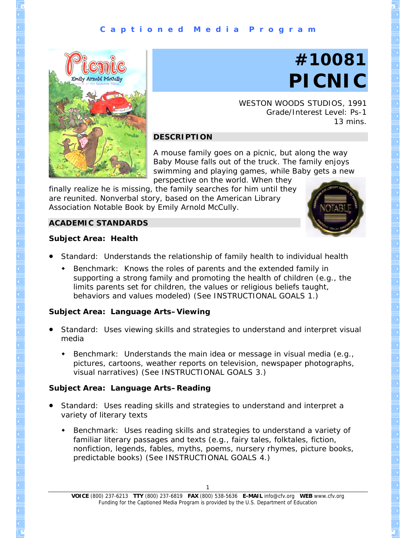# **C a p t i o n e d M e d i a P r o g r a m**



# **#10081 PICNIC**

WESTON WOODS STUDIOS, 1991 Grade/Interest Level: Ps-1 13 mins.

# **DESCRIPTION**

A mouse family goes on a picnic, but along the way Baby Mouse falls out of the truck. The family enjoys swimming and playing games, while Baby gets a new perspective on the world. When they

finally realize he is missing, the family searches for him until they are reunited. Nonverbal story, based on the American Library Association Notable Book by Emily Arnold McCully.

#### **ACADEMIC STANDARDS**



## **Subject Area: Health**

- Standard: Understands the relationship of family health to individual health
	- Benchmark: Knows the roles of parents and the extended family in supporting a strong family and promoting the health of children (e.g., the limits parents set for children, the values or religious beliefs taught, behaviors and values modeled) (See INSTRUCTIONAL GOALS 1.)

## **Subject Area: Language Arts–Viewing**

- Standard: Uses viewing skills and strategies to understand and interpret visual media
	- **Benchmark:** Understands the main idea or message in visual media (e.g., pictures, cartoons, weather reports on television, newspaper photographs, visual narratives) (See INSTRUCTIONAL GOALS 3.)

# **Subject Area: Language Arts–Reading**

- Standard: Uses reading skills and strategies to understand and interpret a variety of literary texts
	- Benchmark: Uses reading skills and strategies to understand a variety of familiar literary passages and texts (e.g., fairy tales, folktales, fiction, nonfiction, legends, fables, myths, poems, nursery rhymes, picture books, predictable books) (See INSTRUCTIONAL GOALS 4.)

1

**VOICE** (800) 237-6213 **TTY** (800) 237-6819 **FAX** (800) 538-5636 **E-MAIL** info@cfv.org **WEB** www.cfv.org Funding for the Captioned Media Program is provided by the U.S. Department of Education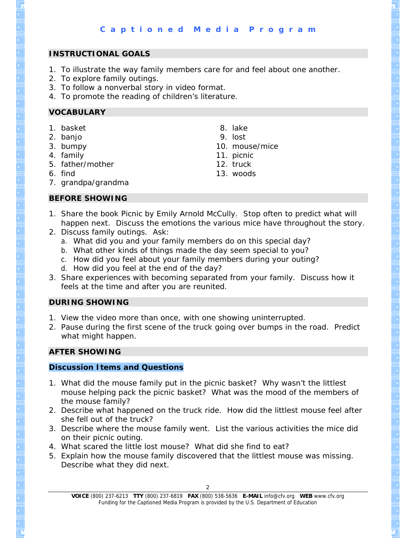## **INSTRUCTIONAL GOALS**

- 1. To illustrate the way family members care for and feel about one another.
- 2. To explore family outings.
- 3. To follow a nonverbal story in video format.
- 4. To promote the reading of children's literature.

## **VOCABULARY**

- 1. basket
- 2. banjo
- 3. bumpy
- 4. family
- 5. father/mother
- 6. find
- 7. grandpa/grandma

# **BEFORE SHOWING**

- 1. Share the book *Picnic* by Emily Arnold McCully. Stop often to predict what will happen next. Discuss the emotions the various mice have throughout the story.
- 2. Discuss family outings. Ask:
	- a. What did you and your family members do on this special day?
	- b. What other kinds of things made the day seem special to you?
	- c. How did you feel about your family members during your outing?
	- d. How did you feel at the end of the day?
- 3. Share experiences with becoming separated from your family. Discuss how it feels at the time and after you are reunited.

## **DURING SHOWING**

- 1. View the video more than once, with one showing uninterrupted.
- 2. Pause during the first scene of the truck going over bumps in the road. Predict what might happen.

## **AFTER SHOWING**

# **Discussion Items and Questions**

- 1. What did the mouse family put in the picnic basket? Why wasn't the littlest mouse helping pack the picnic basket? What was the mood of the members of the mouse family?
- 2. Describe what happened on the truck ride. How did the littlest mouse feel after she fell out of the truck?
- 3. Describe where the mouse family went. List the various activities the mice did on their picnic outing.
- 4. What scared the little lost mouse? What did she find to eat?
- 5. Explain how the mouse family discovered that the littlest mouse was missing. Describe what they did next.
- 8. lake
- 10. mouse/mice
- 11. picnic
- 12. truck
- 13. woods
- 9. lost
	-
- 
-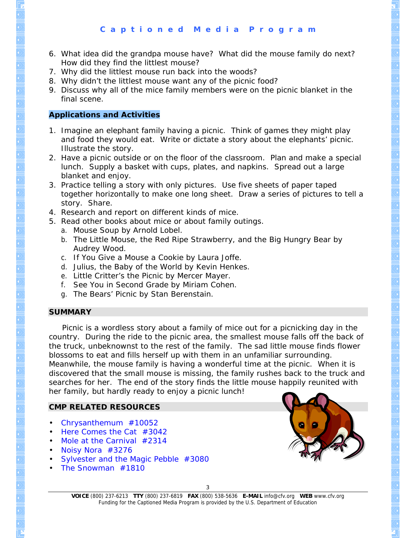- 6. What idea did the grandpa mouse have? What did the mouse family do next? How did they find the littlest mouse?
- 7. Why did the littlest mouse run back into the woods?
- 8. Why didn't the littlest mouse want any of the picnic food?
- 9. Discuss why all of the mice family members were on the picnic blanket in the final scene.

# **Applications and Activities**

- 1. Imagine an elephant family having a picnic. Think of games they might play and food they would eat. Write or dictate a story about the elephants' picnic. Illustrate the story.
- 2. Have a picnic outside or on the floor of the classroom. Plan and make a special lunch. Supply a basket with cups, plates, and napkins. Spread out a large blanket and enjoy.
- 3. Practice telling a story with only pictures. Use five sheets of paper taped together horizontally to make one long sheet. Draw a series of pictures to tell a story. Share.
- 4. Research and report on different kinds of mice.
- 5. Read other books about mice or about family outings.
	- a. *Mouse Soup* by Arnold Lobel.
	- b. *The Little Mouse, the Red Ripe Strawberry, and the Big Hungry Bear* by Audrey Wood.
	- c. *If You Give a Mouse a Cookie* by Laura Joffe.
	- d. *Julius, the Baby of the World* by Kevin Henkes.
	- e. *Little Critter's the Picnic* by Mercer Mayer.
	- f. *See You in Second Grade* by Miriam Cohen.
	- g. *The Bears' Picnic* by Stan Berenstain.

# **SUMMARY**

 *Picnic* is a wordless story about a family of mice out for a picnicking day in the country. During the ride to the picnic area, the smallest mouse falls off the back of the truck, unbeknownst to the rest of the family. The sad little mouse finds flower blossoms to eat and fills herself up with them in an unfamiliar surrounding. Meanwhile, the mouse family is having a wonderful time at the picnic. When it is discovered that the small mouse is missing, the family rushes back to the truck and searches for her. The end of the story finds the little mouse happily reunited with her family, but hardly ready to enjoy a picnic lunch!

# **CMP RELATED RESOURCES**

- *[Chrysanthemum](http://www.cfv.org/titledetail.asp?dn=10052)* #10052
- *[Here Comes the Cat](http://www.cfv.org/titledetail.asp?dn=3042)* #3042
- *[Mole at the Carnival](http://www.cfv.org/titledetail.asp?dn=2314)* #2314
- *[Noisy Nora](http://www.cfv.org/titledetail.asp?dn=3276)* #3276
- *[Sylvester and the Magic Pebble](http://www.cfv.org/titledetail.asp?dn=3080)* #3080
- *[The Snowman](http://www.cfv.org/titledetail.asp?dn=1810)* #1810



**VOICE** (800) 237-6213 **TTY** (800) 237-6819 **FAX** (800) 538-5636 **E-MAIL** info@cfv.org **WEB** www.cfv.org Funding for the Captioned Media Program is provided by the U.S. Department of Education